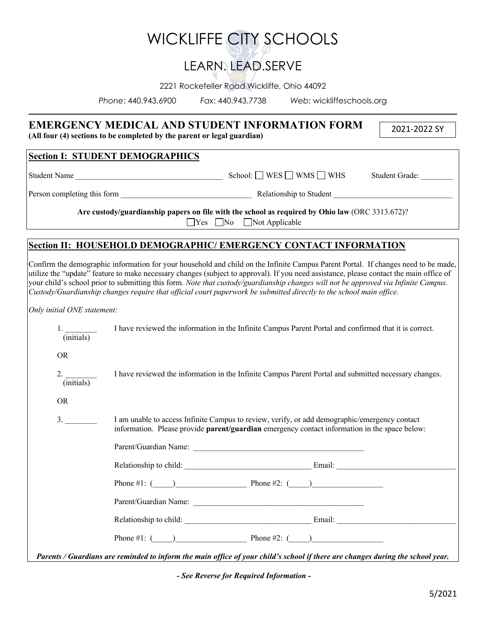|                                            |                                                                                                                                                                                                       |                                             | <b>WICKLIFFE CITY SCHOOLS</b>                                                                                                                                                                                                                              |                                                                                                                                                                                                                                                                               |  |
|--------------------------------------------|-------------------------------------------------------------------------------------------------------------------------------------------------------------------------------------------------------|---------------------------------------------|------------------------------------------------------------------------------------------------------------------------------------------------------------------------------------------------------------------------------------------------------------|-------------------------------------------------------------------------------------------------------------------------------------------------------------------------------------------------------------------------------------------------------------------------------|--|
|                                            |                                                                                                                                                                                                       | LEARN, LEAD.SERVE                           |                                                                                                                                                                                                                                                            |                                                                                                                                                                                                                                                                               |  |
|                                            |                                                                                                                                                                                                       | 2221 Rockefeller Road Wickliffe, Ohio 44092 |                                                                                                                                                                                                                                                            |                                                                                                                                                                                                                                                                               |  |
|                                            | Phone: 440.943.6900                                                                                                                                                                                   |                                             | Fax: 440.943.7738 Web: wickliffeschools.org                                                                                                                                                                                                                |                                                                                                                                                                                                                                                                               |  |
|                                            | (All four (4) sections to be completed by the parent or legal guardian)                                                                                                                               |                                             | <b>EMERGENCY MEDICAL AND STUDENT INFORMATION FORM</b>                                                                                                                                                                                                      | 2021-2022 SY                                                                                                                                                                                                                                                                  |  |
|                                            | <b>Section I: STUDENT DEMOGRAPHICS</b>                                                                                                                                                                |                                             |                                                                                                                                                                                                                                                            |                                                                                                                                                                                                                                                                               |  |
|                                            |                                                                                                                                                                                                       | Student Grade:                              |                                                                                                                                                                                                                                                            |                                                                                                                                                                                                                                                                               |  |
|                                            |                                                                                                                                                                                                       |                                             |                                                                                                                                                                                                                                                            |                                                                                                                                                                                                                                                                               |  |
|                                            |                                                                                                                                                                                                       | $\Box$ Yes $\Box$ No $\Box$ Not Applicable  | Are custody/guardianship papers on file with the school as required by Ohio law (ORC 3313.672)?                                                                                                                                                            |                                                                                                                                                                                                                                                                               |  |
|                                            |                                                                                                                                                                                                       |                                             | <b>Section II: HOUSEHOLD DEMOGRAPHIC/EMERGENCY CONTACT INFORMATION</b>                                                                                                                                                                                     |                                                                                                                                                                                                                                                                               |  |
| Only initial ONE statement:                |                                                                                                                                                                                                       |                                             | your child's school prior to submitting this form. Note that custody/guardianship changes will not be approved via Infinite Campus.<br>Custody/Guardianship changes require that official court paperwork be submitted directly to the school main office. | Confirm the demographic information for your household and child on the Infinite Campus Parent Portal. If changes need to be made,<br>utilize the "update" feature to make necessary changes (subject to approval). If you need assistance, please contact the main office of |  |
| $\frac{1}{\text{(initials)}}$<br><b>OR</b> |                                                                                                                                                                                                       |                                             | I have reviewed the information in the Infinite Campus Parent Portal and confirmed that it is correct.                                                                                                                                                     |                                                                                                                                                                                                                                                                               |  |
| $\frac{2}{\text{(initials)}}$<br><b>OR</b> | I have reviewed the information in the Infinite Campus Parent Portal and submitted necessary changes.                                                                                                 |                                             |                                                                                                                                                                                                                                                            |                                                                                                                                                                                                                                                                               |  |
| 3.                                         | I am unable to access Infinite Campus to review, verify, or add demographic/emergency contact<br>information. Please provide <b>parent/guardian</b> emergency contact information in the space below: |                                             |                                                                                                                                                                                                                                                            |                                                                                                                                                                                                                                                                               |  |
|                                            |                                                                                                                                                                                                       |                                             |                                                                                                                                                                                                                                                            |                                                                                                                                                                                                                                                                               |  |
|                                            |                                                                                                                                                                                                       |                                             |                                                                                                                                                                                                                                                            |                                                                                                                                                                                                                                                                               |  |
|                                            |                                                                                                                                                                                                       |                                             | Phone #1: $\qquad \qquad$ Phone #2: $\qquad \qquad$                                                                                                                                                                                                        |                                                                                                                                                                                                                                                                               |  |
|                                            |                                                                                                                                                                                                       |                                             |                                                                                                                                                                                                                                                            |                                                                                                                                                                                                                                                                               |  |
|                                            |                                                                                                                                                                                                       |                                             |                                                                                                                                                                                                                                                            |                                                                                                                                                                                                                                                                               |  |
|                                            |                                                                                                                                                                                                       |                                             | Phone #1: $\qquad \qquad$ Phone #2: $\qquad \qquad$                                                                                                                                                                                                        |                                                                                                                                                                                                                                                                               |  |
|                                            |                                                                                                                                                                                                       |                                             |                                                                                                                                                                                                                                                            |                                                                                                                                                                                                                                                                               |  |

*Parents / Guardians are reminded to inform the main office of your child's school if there are changes during the school year.*

*- See Reverse for Required Information -*